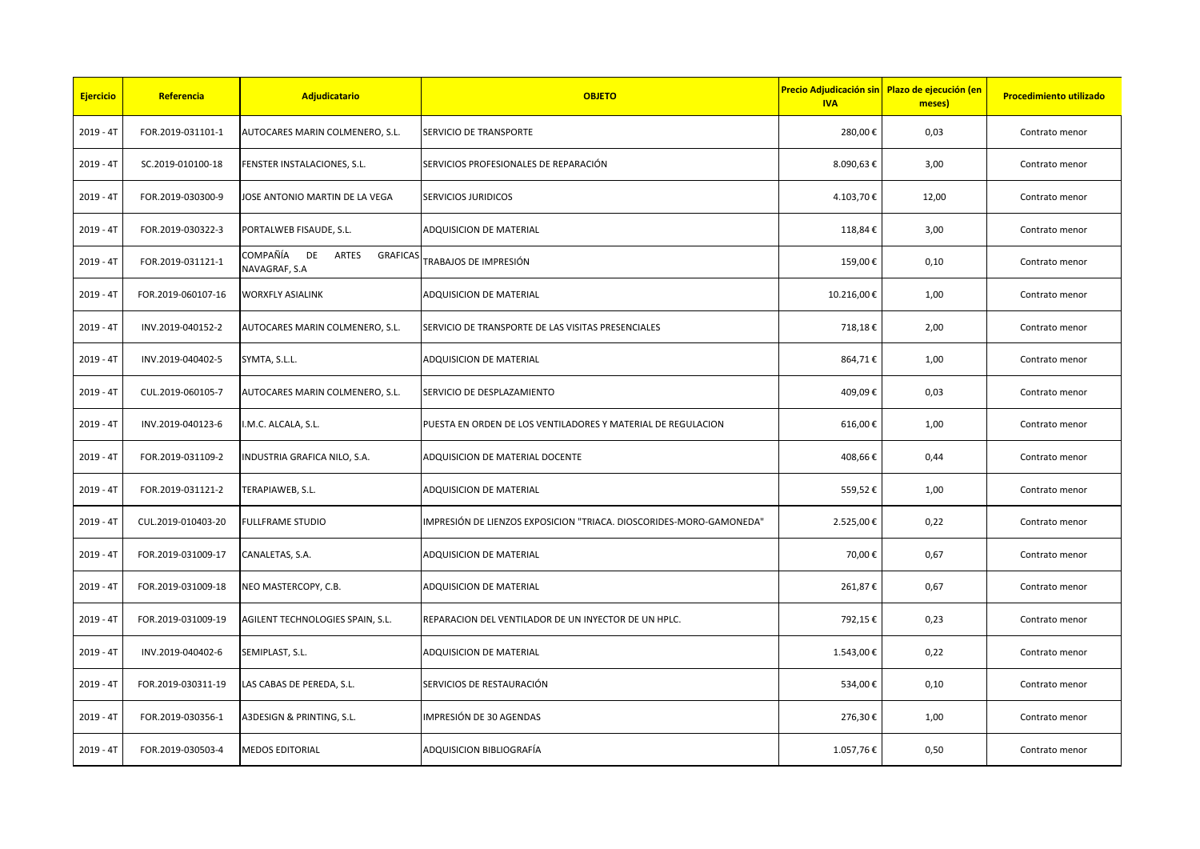| <b>Ejercicio</b> | Referencia         | Adjudicatario                                            | <b>OBJETO</b>                                                       | Precio Adjudicación sin Plazo de ejecución (en<br><b>IVA</b> | meses) | <b>Procedimiento utilizado</b> |
|------------------|--------------------|----------------------------------------------------------|---------------------------------------------------------------------|--------------------------------------------------------------|--------|--------------------------------|
| $2019 - 4T$      | FOR.2019-031101-1  | AUTOCARES MARIN COLMENERO, S.L.                          | SERVICIO DE TRANSPORTE                                              | 280,00€                                                      | 0,03   | Contrato menor                 |
| $2019 - 4T$      | SC.2019-010100-18  | FENSTER INSTALACIONES, S.L.                              | SERVICIOS PROFESIONALES DE REPARACIÓN                               | 8.090,63€                                                    | 3,00   | Contrato menor                 |
| $2019 - 4T$      | FOR.2019-030300-9  | JOSE ANTONIO MARTIN DE LA VEGA                           | <b>SERVICIOS JURIDICOS</b>                                          | 4.103,70€                                                    | 12,00  | Contrato menor                 |
| $2019 - 4T$      | FOR.2019-030322-3  | PORTALWEB FISAUDE, S.L.                                  | <b>ADQUISICION DE MATERIAL</b>                                      | 118,84€                                                      | 3,00   | Contrato menor                 |
| $2019 - 4T$      | FOR.2019-031121-1  | COMPAÑÍA DE<br>ARTES<br><b>GRAFICAS</b><br>NAVAGRAF, S.A | TRABAJOS DE IMPRESIÓN                                               | 159,00€                                                      | 0,10   | Contrato menor                 |
| $2019 - 4T$      | FOR.2019-060107-16 | <b>WORXFLY ASIALINK</b>                                  | ADQUISICION DE MATERIAL                                             | 10.216,00€                                                   | 1,00   | Contrato menor                 |
| $2019 - 4T$      | INV.2019-040152-2  | AUTOCARES MARIN COLMENERO, S.L.                          | SERVICIO DE TRANSPORTE DE LAS VISITAS PRESENCIALES                  | 718,18€                                                      | 2,00   | Contrato menor                 |
| $2019 - 4T$      | INV.2019-040402-5  | SYMTA, S.L.L.                                            | ADQUISICION DE MATERIAL                                             | 864,71€                                                      | 1,00   | Contrato menor                 |
| $2019 - 4T$      | CUL.2019-060105-7  | AUTOCARES MARIN COLMENERO, S.L.                          | SERVICIO DE DESPLAZAMIENTO                                          | 409,09€                                                      | 0,03   | Contrato menor                 |
| $2019 - 4T$      | INV.2019-040123-6  | .M.C. ALCALA, S.L.                                       | PUESTA EN ORDEN DE LOS VENTILADORES Y MATERIAL DE REGULACION        | 616,00€                                                      | 1,00   | Contrato menor                 |
| $2019 - 4T$      | FOR.2019-031109-2  | <b>NDUSTRIA GRAFICA NILO, S.A.</b>                       | ADQUISICION DE MATERIAL DOCENTE                                     | 408,66€                                                      | 0,44   | Contrato menor                 |
| $2019 - 4T$      | FOR.2019-031121-2  | TERAPIAWEB, S.L.                                         | <b>ADQUISICION DE MATERIAL</b>                                      | 559,52€                                                      | 1,00   | Contrato menor                 |
| $2019 - 4T$      | CUL.2019-010403-20 | FULLFRAME STUDIO                                         | IMPRESIÓN DE LIENZOS EXPOSICION "TRIACA. DIOSCORIDES-MORO-GAMONEDA" | 2.525,00€                                                    | 0,22   | Contrato menor                 |
| $2019 - 4T$      | FOR.2019-031009-17 | CANALETAS, S.A.                                          | ADQUISICION DE MATERIAL                                             | 70,00€                                                       | 0,67   | Contrato menor                 |
| 2019 - 4T        | FOR.2019-031009-18 | NEO MASTERCOPY, C.B.                                     | ADQUISICION DE MATERIAL                                             | 261,87€                                                      | 0,67   | Contrato menor                 |
| $2019 - 4T$      | FOR.2019-031009-19 | AGILENT TECHNOLOGIES SPAIN, S.L.                         | REPARACION DEL VENTILADOR DE UN INYECTOR DE UN HPLC.                | 792,15€                                                      | 0,23   | Contrato menor                 |
| $2019 - 4T$      | INV.2019-040402-6  | SEMIPLAST, S.L.                                          | ADQUISICION DE MATERIAL                                             | 1.543,00€                                                    | 0,22   | Contrato menor                 |
| $2019 - 4T$      | FOR.2019-030311-19 | LAS CABAS DE PEREDA, S.L.                                | SERVICIOS DE RESTAURACIÓN                                           | 534,00€                                                      | 0,10   | Contrato menor                 |
| $2019 - 4T$      | FOR.2019-030356-1  | A3DESIGN & PRINTING, S.L.                                | IMPRESIÓN DE 30 AGENDAS                                             | 276,30€                                                      | 1,00   | Contrato menor                 |
| $2019 - 4T$      | FOR.2019-030503-4  | <b>MEDOS EDITORIAL</b>                                   | ADQUISICION BIBLIOGRAFÍA                                            | 1.057,76€                                                    | 0,50   | Contrato menor                 |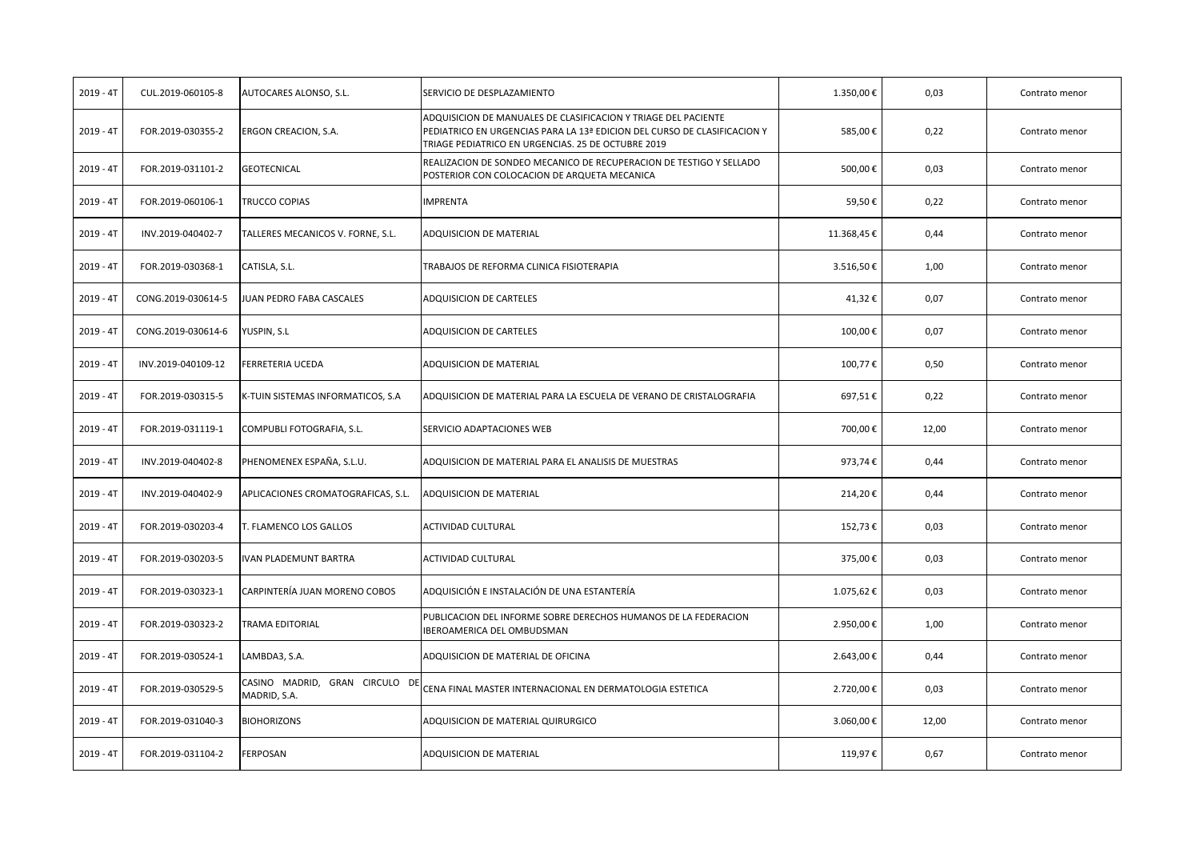| $2019 - 4T$ | CUL.2019-060105-8  | AUTOCARES ALONSO, S.L.                         | SERVICIO DE DESPLAZAMIENTO                                                                                                                                                                       | 1.350,00€  | 0,03  | Contrato menor |
|-------------|--------------------|------------------------------------------------|--------------------------------------------------------------------------------------------------------------------------------------------------------------------------------------------------|------------|-------|----------------|
| $2019 - 4T$ | FOR.2019-030355-2  | ERGON CREACION, S.A.                           | ADQUISICION DE MANUALES DE CLASIFICACION Y TRIAGE DEL PACIENTE<br>PEDIATRICO EN URGENCIAS PARA LA 13ª EDICION DEL CURSO DE CLASIFICACION Y<br>TRIAGE PEDIATRICO EN URGENCIAS. 25 DE OCTUBRE 2019 | 585,00€    | 0,22  | Contrato menor |
| $2019 - 4T$ | FOR.2019-031101-2  | <b>GEOTECNICAL</b>                             | REALIZACION DE SONDEO MECANICO DE RECUPERACION DE TESTIGO Y SELLADO<br>POSTERIOR CON COLOCACION DE ARQUETA MECANICA                                                                              | 500,00€    | 0,03  | Contrato menor |
| $2019 - 4T$ | FOR.2019-060106-1  | TRUCCO COPIAS                                  | <b>IMPRENTA</b>                                                                                                                                                                                  | 59,50€     | 0,22  | Contrato menor |
| $2019 - 4T$ | INV.2019-040402-7  | TALLERES MECANICOS V. FORNE, S.L.              | ADQUISICION DE MATERIAL                                                                                                                                                                          | 11.368,45€ | 0,44  | Contrato menor |
| $2019 - 4T$ | FOR.2019-030368-1  | CATISLA, S.L.                                  | TRABAJOS DE REFORMA CLINICA FISIOTERAPIA                                                                                                                                                         | 3.516,50€  | 1,00  | Contrato menor |
| $2019 - 4T$ | CONG.2019-030614-5 | JUAN PEDRO FABA CASCALES                       | ADQUISICION DE CARTELES                                                                                                                                                                          | 41,32€     | 0,07  | Contrato menor |
| $2019 - 4T$ | CONG.2019-030614-6 | YUSPIN, S.L                                    | <b>ADQUISICION DE CARTELES</b>                                                                                                                                                                   | 100,00€    | 0,07  | Contrato menor |
| $2019 - 4T$ | INV.2019-040109-12 | FERRETERIA UCEDA                               | ADQUISICION DE MATERIAL                                                                                                                                                                          | 100,77€    | 0,50  | Contrato menor |
| $2019 - 4T$ | FOR.2019-030315-5  | K-TUIN SISTEMAS INFORMATICOS, S.A.             | ADQUISICION DE MATERIAL PARA LA ESCUELA DE VERANO DE CRISTALOGRAFIA                                                                                                                              | 697,51€    | 0,22  | Contrato menor |
| $2019 - 4T$ | FOR.2019-031119-1  | COMPUBLI FOTOGRAFIA, S.L.                      | SERVICIO ADAPTACIONES WEB                                                                                                                                                                        | 700,00€    | 12,00 | Contrato menor |
| $2019 - 4T$ | INV.2019-040402-8  | PHENOMENEX ESPAÑA, S.L.U.                      | ADQUISICION DE MATERIAL PARA EL ANALISIS DE MUESTRAS                                                                                                                                             | 973,74€    | 0,44  | Contrato menor |
| $2019 - 4T$ | INV.2019-040402-9  | APLICACIONES CROMATOGRAFICAS, S.L.             | <b>ADQUISICION DE MATERIAL</b>                                                                                                                                                                   | 214,20€    | 0,44  | Contrato menor |
| 2019 - 4T   | FOR.2019-030203-4  | T. FLAMENCO LOS GALLOS                         | <b>ACTIVIDAD CULTURAL</b>                                                                                                                                                                        | 152,73€    | 0,03  | Contrato menor |
| $2019 - 4T$ | FOR.2019-030203-5  | IVAN PLADEMUNT BARTRA                          | ACTIVIDAD CULTURAL                                                                                                                                                                               | 375,00€    | 0,03  | Contrato menor |
| $2019 - 4T$ | FOR.2019-030323-1  | CARPINTERÍA JUAN MORENO COBOS                  | ADQUISICIÓN E INSTALACIÓN DE UNA ESTANTERÍA                                                                                                                                                      | 1.075,62€  | 0,03  | Contrato menor |
| $2019 - 4T$ | FOR.2019-030323-2  | <b>TRAMA EDITORIAL</b>                         | PUBLICACION DEL INFORME SOBRE DERECHOS HUMANOS DE LA FEDERACION<br><b>IBEROAMERICA DEL OMBUDSMAN</b>                                                                                             | 2.950,00€  | 1,00  | Contrato menor |
| $2019 - 4T$ | FOR.2019-030524-1  | LAMBDA3, S.A.                                  | ADQUISICION DE MATERIAL DE OFICINA                                                                                                                                                               | 2.643,00€  | 0,44  | Contrato menor |
| 2019 - 4T   | FOR.2019-030529-5  | CASINO MADRID, GRAN CIRCULO DE<br>MADRID, S.A. | CENA FINAL MASTER INTERNACIONAL EN DERMATOLOGIA ESTETICA                                                                                                                                         | 2.720,00€  | 0,03  | Contrato menor |
| $2019 - 4T$ | FOR.2019-031040-3  | <b>BIOHORIZONS</b>                             | ADQUISICION DE MATERIAL QUIRURGICO                                                                                                                                                               | 3.060,00€  | 12,00 | Contrato menor |
| $2019 - 4T$ | FOR.2019-031104-2  | <b>FERPOSAN</b>                                | ADQUISICION DE MATERIAL                                                                                                                                                                          | 119,97€    | 0,67  | Contrato menor |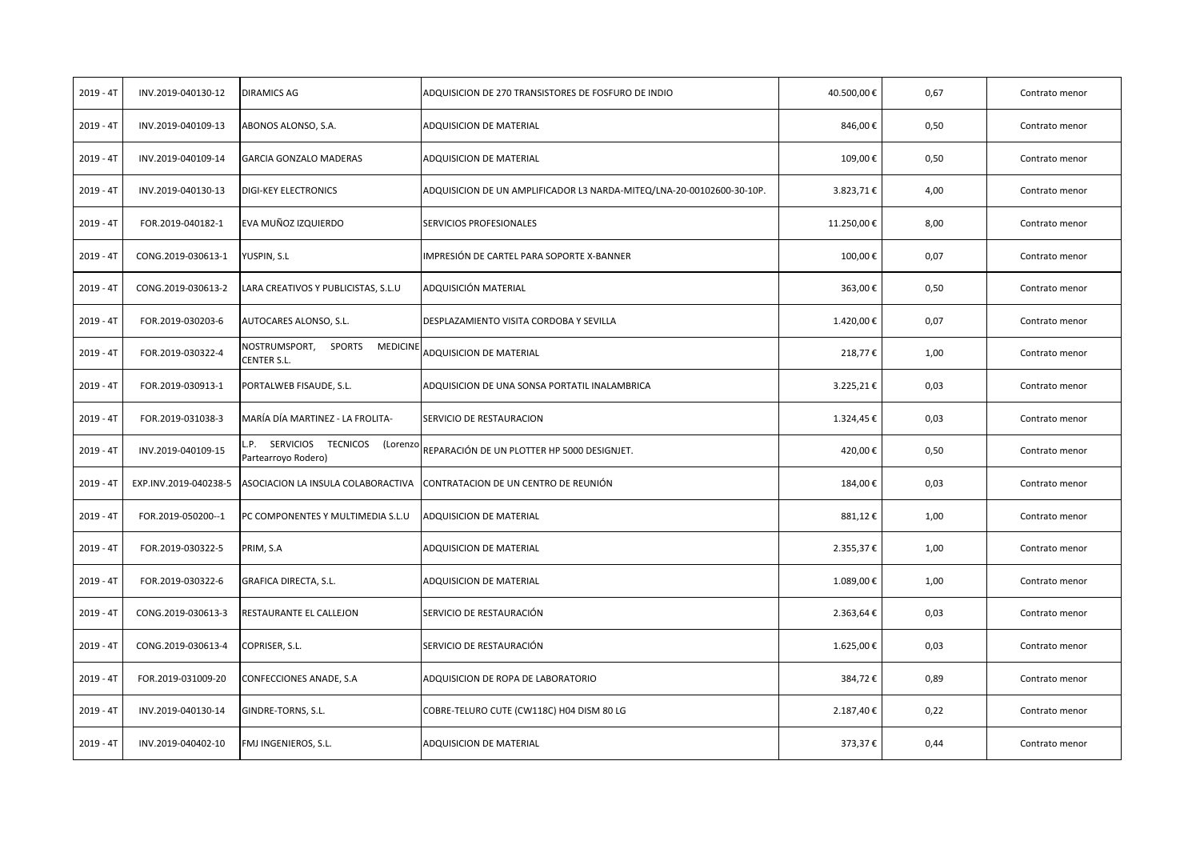| $2019 - 4T$ | INV.2019-040130-12    | <b>DIRAMICS AG</b>                                        | ADQUISICION DE 270 TRANSISTORES DE FOSFURO DE INDIO                   | 40.500,00€ | 0,67 | Contrato menor |
|-------------|-----------------------|-----------------------------------------------------------|-----------------------------------------------------------------------|------------|------|----------------|
| $2019 - 4T$ | INV.2019-040109-13    | ABONOS ALONSO, S.A.                                       | ADQUISICION DE MATERIAL                                               | 846,00€    | 0,50 | Contrato menor |
| $2019 - 4T$ | INV.2019-040109-14    | <b>GARCIA GONZALO MADERAS</b>                             | ADQUISICION DE MATERIAL                                               | 109,00€    | 0,50 | Contrato menor |
| 2019 - 4T   | INV.2019-040130-13    | <b>DIGI-KEY ELECTRONICS</b>                               | ADQUISICION DE UN AMPLIFICADOR L3 NARDA-MITEQ/LNA-20-00102600-30-10P. | 3.823,71€  | 4,00 | Contrato menor |
| $2019 - 4T$ | FOR.2019-040182-1     | EVA MUÑOZ IZQUIERDO                                       | SERVICIOS PROFESIONALES                                               | 11.250,00€ | 8,00 | Contrato menor |
| $2019 - 4T$ | CONG.2019-030613-1    | YUSPIN, S.L                                               | IMPRESIÓN DE CARTEL PARA SOPORTE X-BANNER                             | 100,00€    | 0,07 | Contrato menor |
| $2019 - 4T$ | CONG.2019-030613-2    | LARA CREATIVOS Y PUBLICISTAS, S.L.U                       | ADQUISICIÓN MATERIAL                                                  | 363,00€    | 0,50 | Contrato menor |
| $2019 - 4T$ | FOR.2019-030203-6     | AUTOCARES ALONSO, S.L.                                    | DESPLAZAMIENTO VISITA CORDOBA Y SEVILLA                               | 1.420,00€  | 0,07 | Contrato menor |
| $2019 - 4T$ | FOR.2019-030322-4     | SPORTS<br>NOSTRUMSPORT,<br><b>MEDICINE</b><br>CENTER S.L. | ADQUISICION DE MATERIAL                                               | 218,77€    | 1,00 | Contrato menor |
| $2019 - 4T$ | FOR.2019-030913-1     | PORTALWEB FISAUDE, S.L.                                   | ADQUISICION DE UNA SONSA PORTATIL INALAMBRICA                         | 3.225,21€  | 0,03 | Contrato menor |
| $2019 - 4T$ | FOR.2019-031038-3     | MARÍA DÍA MARTINEZ - LA FROLITA-                          | SERVICIO DE RESTAURACION                                              | 1.324,45€  | 0,03 | Contrato menor |
| $2019 - 4T$ | INV.2019-040109-15    | P. SERVICIOS TECNICOS<br>(Lorenzo<br>Partearroyo Rodero)  | REPARACIÓN DE UN PLOTTER HP 5000 DESIGNJET.                           | 420,00€    | 0,50 | Contrato menor |
| $2019 - 4T$ | EXP.INV.2019-040238-5 | ASOCIACION LA INSULA COLABORACTIVA                        | CONTRATACION DE UN CENTRO DE REUNIÓN                                  | 184,00€    | 0,03 | Contrato menor |
| $2019 - 4T$ | FOR.2019-050200--1    | PC COMPONENTES Y MULTIMEDIA S.L.U                         | ADQUISICION DE MATERIAL                                               | 881,12€    | 1,00 | Contrato menor |
| $2019 - 4T$ | FOR.2019-030322-5     | PRIM, S.A                                                 | ADQUISICION DE MATERIAL                                               | 2.355,37€  | 1,00 | Contrato menor |
| $2019 - 4T$ | FOR.2019-030322-6     | GRAFICA DIRECTA, S.L.                                     | ADQUISICION DE MATERIAL                                               | 1.089,00€  | 1,00 | Contrato menor |
| $2019 - 4T$ | CONG.2019-030613-3    | RESTAURANTE EL CALLEJON                                   | SERVICIO DE RESTAURACIÓN                                              | 2.363,64€  | 0,03 | Contrato menor |
| $2019 - 4T$ | CONG.2019-030613-4    | COPRISER, S.L.                                            | SERVICIO DE RESTAURACIÓN                                              | 1.625,00€  | 0,03 | Contrato menor |
| $2019 - 4T$ | FOR.2019-031009-20    | CONFECCIONES ANADE, S.A                                   | ADQUISICION DE ROPA DE LABORATORIO                                    | 384,72€    | 0,89 | Contrato menor |
| $2019 - 4T$ | INV.2019-040130-14    | GINDRE-TORNS, S.L.                                        | COBRE-TELURO CUTE (CW118C) H04 DISM 80 LG                             | 2.187,40€  | 0,22 | Contrato menor |
| $2019 - 4T$ | INV.2019-040402-10    | FMJ INGENIEROS, S.L.                                      | ADQUISICION DE MATERIAL                                               | 373,37€    | 0,44 | Contrato menor |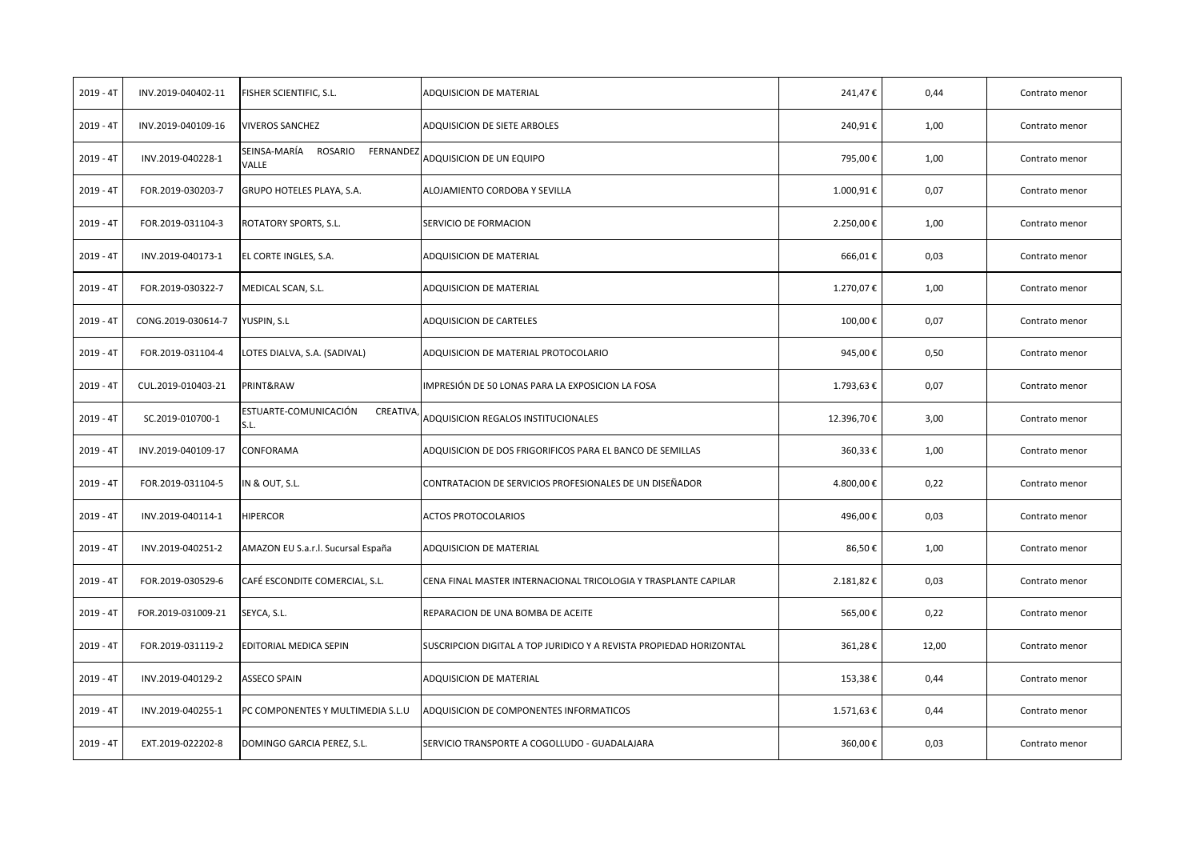| $2019 - 4T$ | INV.2019-040402-11 | FISHER SCIENTIFIC, S.L.                       | ADQUISICION DE MATERIAL                                             | 241,47€    | 0,44  | Contrato menor |
|-------------|--------------------|-----------------------------------------------|---------------------------------------------------------------------|------------|-------|----------------|
| $2019 - 4T$ | INV.2019-040109-16 | <b>VIVEROS SANCHEZ</b>                        | ADQUISICION DE SIETE ARBOLES                                        | 240,91€    | 1,00  | Contrato menor |
| $2019 - 4T$ | INV.2019-040228-1  | SEINSA-MARÍA<br>ROSARIO<br>FERNANDEZ<br>VALLE | ADQUISICION DE UN EQUIPO                                            | 795,00€    | 1,00  | Contrato menor |
| $2019 - 4T$ | FOR.2019-030203-7  | GRUPO HOTELES PLAYA, S.A.                     | ALOJAMIENTO CORDOBA Y SEVILLA                                       | 1.000,91€  | 0,07  | Contrato menor |
| 2019 - 4T   | FOR.2019-031104-3  | ROTATORY SPORTS, S.L.                         | SERVICIO DE FORMACION                                               | 2.250,00€  | 1,00  | Contrato menor |
| $2019 - 4T$ | INV.2019-040173-1  | EL CORTE INGLES, S.A.                         | ADQUISICION DE MATERIAL                                             | 666,01€    | 0,03  | Contrato menor |
| $2019 - 4T$ | FOR.2019-030322-7  | MEDICAL SCAN, S.L.                            | ADQUISICION DE MATERIAL                                             | 1.270,07€  | 1,00  | Contrato menor |
| $2019 - 4T$ | CONG.2019-030614-7 | YUSPIN, S.L                                   | ADQUISICION DE CARTELES                                             | 100,00€    | 0,07  | Contrato menor |
| $2019 - 4T$ | FOR.2019-031104-4  | LOTES DIALVA, S.A. (SADIVAL)                  | ADQUISICION DE MATERIAL PROTOCOLARIO                                | 945,00€    | 0,50  | Contrato menor |
| $2019 - 4T$ | CUL.2019-010403-21 | PRINT&RAW                                     | IMPRESIÓN DE 50 LONAS PARA LA EXPOSICION LA FOSA                    | 1.793,63€  | 0,07  | Contrato menor |
| 2019 - 4T   | SC.2019-010700-1   | ESTUARTE-COMUNICACIÓN<br>CREATIVA,<br>S.L.    | ADQUISICION REGALOS INSTITUCIONALES                                 | 12.396,70€ | 3,00  | Contrato menor |
| $2019 - 4T$ | INV.2019-040109-17 | CONFORAMA                                     | ADQUISICION DE DOS FRIGORIFICOS PARA EL BANCO DE SEMILLAS           | 360,33€    | 1,00  | Contrato menor |
| $2019 - 4T$ | FOR.2019-031104-5  | IN & OUT, S.L.                                | CONTRATACION DE SERVICIOS PROFESIONALES DE UN DISEÑADOR             | 4.800,00€  | 0,22  | Contrato menor |
| $2019 - 4T$ | INV.2019-040114-1  | <b>HIPERCOR</b>                               | ACTOS PROTOCOLARIOS                                                 | 496,00€    | 0,03  | Contrato menor |
| $2019 - 4T$ | INV.2019-040251-2  | AMAZON EU S.a.r.l. Sucursal España            | ADQUISICION DE MATERIAL                                             | 86,50€     | 1,00  | Contrato menor |
| $2019 - 4T$ | FOR.2019-030529-6  | CAFÉ ESCONDITE COMERCIAL, S.L.                | CENA FINAL MASTER INTERNACIONAL TRICOLOGIA Y TRASPLANTE CAPILAR     | 2.181,82€  | 0,03  | Contrato menor |
| 2019 - 4T   | FOR.2019-031009-21 | SEYCA, S.L.                                   | REPARACION DE UNA BOMBA DE ACEITE                                   | 565,00€    | 0,22  | Contrato menor |
| $2019 - 4T$ | FOR.2019-031119-2  | EDITORIAL MEDICA SEPIN                        | SUSCRIPCION DIGITAL A TOP JURIDICO Y A REVISTA PROPIEDAD HORIZONTAL | 361,28€    | 12,00 | Contrato menor |
| $2019 - 4T$ | INV.2019-040129-2  | <b>ASSECO SPAIN</b>                           | ADQUISICION DE MATERIAL                                             | 153,38€    | 0,44  | Contrato menor |
| $2019 - 4T$ | INV.2019-040255-1  | PC COMPONENTES Y MULTIMEDIA S.L.U             | ADQUISICION DE COMPONENTES INFORMATICOS                             | 1.571,63€  | 0,44  | Contrato menor |
| $2019 - 4T$ | EXT.2019-022202-8  | DOMINGO GARCIA PEREZ, S.L.                    | SERVICIO TRANSPORTE A COGOLLUDO - GUADALAJARA                       | 360,00€    | 0,03  | Contrato menor |